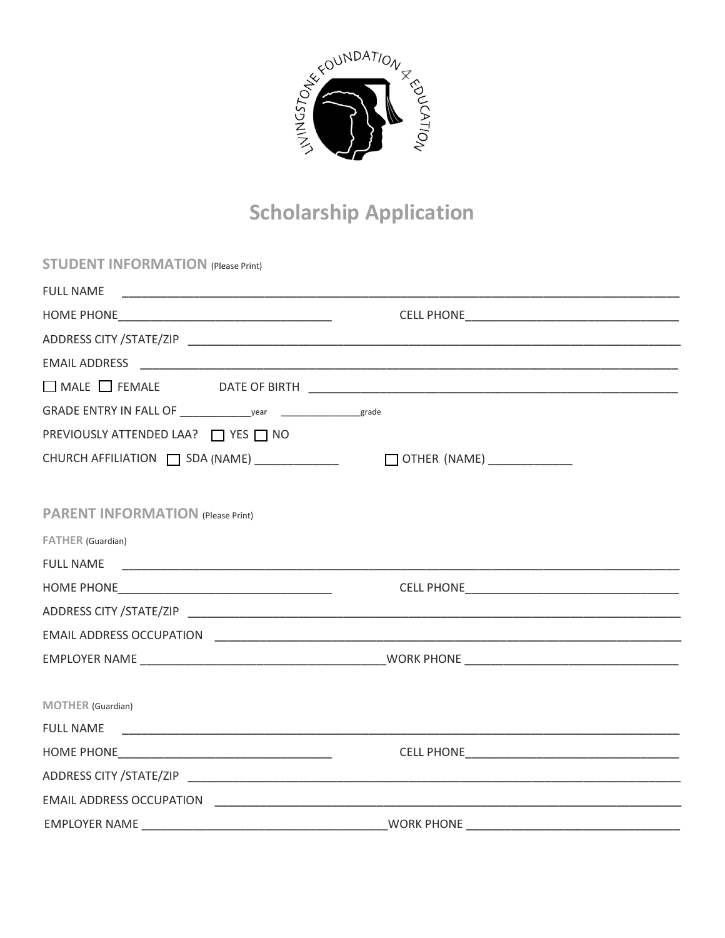

# **Scholarship Application**

| <b>STUDENT INFORMATION (Please Print)</b>     |                             |
|-----------------------------------------------|-----------------------------|
| <b>FULL NAME</b>                              |                             |
|                                               |                             |
|                                               |                             |
|                                               |                             |
|                                               |                             |
|                                               |                             |
| PREVIOUSLY ATTENDED LAA? ■ YES ■ NO           |                             |
| CHURCH AFFILIATION   SDA (NAME) _____________ | OTHER (NAME) ______________ |
| <b>PARENT INFORMATION (Please Print)</b>      |                             |
| FATHER (Guardian)                             |                             |
| <b>FULL NAME</b>                              |                             |
|                                               |                             |
|                                               |                             |
|                                               |                             |
|                                               |                             |
| MOTHER (Guardian)                             |                             |
| <b>FULL NAME</b>                              |                             |
|                                               |                             |
|                                               |                             |
|                                               |                             |
| FMPI OVER NAME                                | MORK PHONE                  |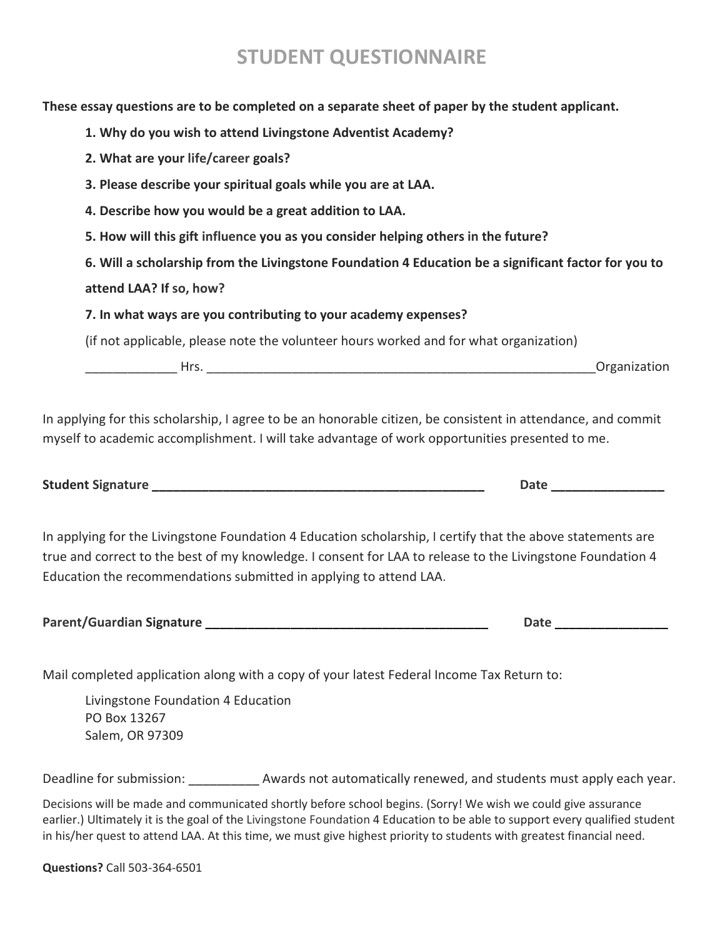### **STUDENT QUESTIONNAIRE**

**These essay questions are to be completed on a separate sheet of paper by the student applicant.**

- **1. Why do you wish to attend Livingstone Adventist Academy?**
- **2. What are your life/career goals?**
- **3. Please describe your spiritual goals while you are at LAA.**
- **4. Describe how you would be a great addition to LAA.**
- **5. How will this gift influence you as you consider helping others in the future?**

#### **attend LAA? If so, how?**

#### **7. In what ways are you contributing to your academy expenses?**

(if not applicable, please note the volunteer hours worked and for what organization)

er the set of the set of the set of the set of the set of the set of the set of the set of the set of the set o

In applying for this scholarship, I agree to be an honorable citizen, be consistent in attendance, and commit myself to academic accomplishment. I will take advantage of work opportunities presented to me.

|  | <b>Student Signature</b> |
|--|--------------------------|
|  |                          |

In applying for the Livingstone Foundation 4 Education scholarship, I certify that the above statements are true and correct to the best of my knowledge. I consent for LAA to release to the Livingstone Foundation 4 Education the recommendations submitted in applying to attend LAA.

| Parent/Guardian Signature |  | Date |  |
|---------------------------|--|------|--|
|---------------------------|--|------|--|

Mail completed application along with a copy of your latest Federal Income Tax Return to:

Livingstone Foundation 4 Education PO Box 13267 Salem, OR 97309

Deadline for submission: **Example 20 Addards not automatically renewed, and students must apply each year.** 

Decisions will be made and communicated shortly before school begins. (Sorry! We wish we could give assurance earlier.) Ultimately it is the goal of the Livingstone Foundation 4 Education to be able to support every qualified student in his/her quest to attend LAA. At this time, we must give highest priority to students with greatest financial need.

**Questions?** Call 503-364-6501

**Student Signature \_\_\_\_\_\_\_\_\_\_\_\_\_\_\_\_\_\_\_\_\_\_\_\_\_\_\_\_\_\_\_\_\_\_\_\_\_\_\_\_\_\_\_\_\_\_\_ Date \_\_\_\_\_\_\_\_\_\_\_\_\_\_\_\_**